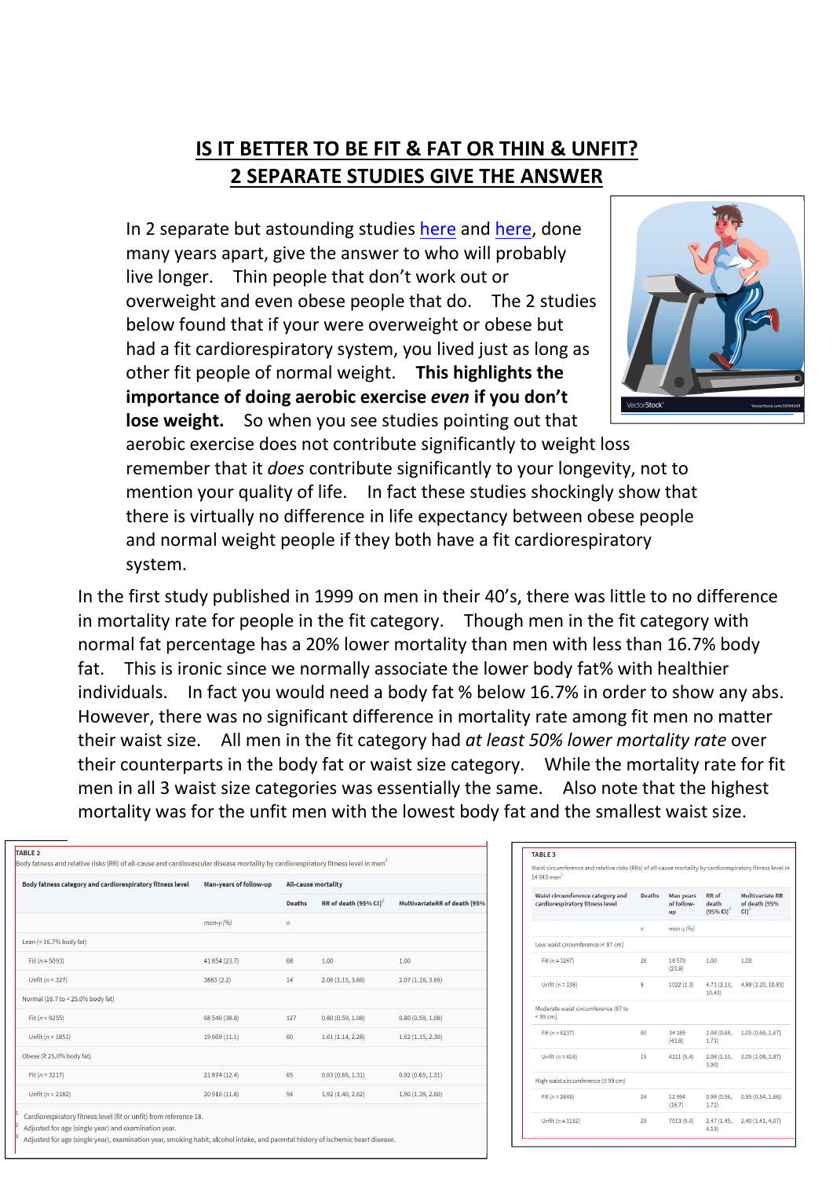## **IS IT BETTER TO BE FIT & FAT OR THIN & UNFIT? 2 SEPARATE STUDIES GIVE THE ANSWER**

In 2 separate but astounding studies [here](https://academic.oup.com/ajcn/article/69/3/373/4694139) and [here](https://jamanetwork.com/journals/jama/article-abstract/209641), done many years apart, give the answer to who will probably live longer. Thin people that don't work out or overweight and even obese people that do. The 2 studies below found that if your were overweight or obese but had a fit cardiorespiratory system, you lived just as long as other fit people of normal weight. **This highlights the importance of doing aerobic exercise** *even* **if you don't lose weight.** So when you see studies pointing out that



aerobic exercise does not contribute significantly to weight loss remember that it *does* contribute significantly to your longevity, not to mention your quality of life. In fact these studies shockingly show that there is virtually no difference in life expectancy between obese people and normal weight people if they both have a fit cardiorespiratory system.

In the first study published in 1999 on men in their 40's, there was little to no difference in mortality rate for people in the fit category. Though men in the fit category with normal fat percentage has a 20% lower mortality than men with less than 16.7% body fat. This is ironic since we normally associate the lower body fat% with healthier individuals. In fact you would need a body fat % below 16.7% in order to show any abs. However, there was no significant difference in mortality rate among fit men no matter their waist size. All men in the fit category had *at least 50% lower mortality rate* over their counterparts in the body fat or waist size category. While the mortality rate for fit men in all 3 waist size categories was essentially the same. Also note that the highest mortality was for the unfit men with the lowest body fat and the smallest waist size.

| Body fatness category and cardiorespiratory fitness level | Man-years of follow-up | <b>All-cause mortality</b> |                                      |                              |  |
|-----------------------------------------------------------|------------------------|----------------------------|--------------------------------------|------------------------------|--|
|                                                           |                        | <b>Deaths</b>              | RR of death $(95\%$ CI) <sup>2</sup> | MultivariateRR of death (95% |  |
|                                                           | $man-y(96)$            | $\sqrt{n}$                 |                                      |                              |  |
| Lean (< 16.7% body fat)                                   |                        |                            |                                      |                              |  |
| Fit ( $n = 5093$ )                                        | 41 854 (23.7)          | 68                         | 1.00                                 | 1.00                         |  |
| Unfit $(n = 327)$                                         | 3883 (2.2)             | 14                         | 2.06(1.15, 3.66)                     | 2.07(1.16, 3.69)             |  |
| Normal (16.7 to < 25.0% body fat)                         |                        |                            |                                      |                              |  |
| Fit ( $n = 9255$ )                                        | 68 546 (38.8)          | 127                        | 0.80(0.59, 1.08)                     | 0.80(0.59, 1.08)             |  |
| Unfit ( $n = 1851$ )                                      | 19 669 (11.1)          | 60                         | 1.61(1.14, 2.28)                     | 1.62(1.15, 2.30)             |  |
| Obese (≥ 25.0% body fat)                                  |                        |                            |                                      |                              |  |
| Fit $(n = 3217)$                                          | 21 874 (12.4)          | 65                         | 0.93(0.65, 1.31)                     | 0.92(0.65, 1.31)             |  |
| Unfit ( $n = 2182$ )                                      | 20 916 (11.8)          | 94                         | 1.92(1.40, 2.62)                     | 1.90(1.39, 2.60)             |  |

Adjusted for age (single year), examination year, smoking habit, alcohol intake, and parental history of ischemic heart disease

| 14.043 men                                                          |        |                               |                                |                                                              |
|---------------------------------------------------------------------|--------|-------------------------------|--------------------------------|--------------------------------------------------------------|
| Waist circumference category and<br>cardiorespiratory fitness level | Deaths | Man years<br>of follow-<br>up | RR of<br>death<br>$(95% CI)^2$ | <b>Multivariate RR</b><br>of death (95%<br>$C1$ <sup>3</sup> |
|                                                                     | n      | $man-y(96)$                   |                                |                                                              |
| Low waist circumference (< 87 cm)                                   |        |                               |                                |                                                              |
| Fit $(n = 3247)$                                                    | 26     | 18.579<br>(23.8)              | 1.00                           | 1.00                                                         |
| Unfit $(n = 136)$                                                   | 8      | 1022(1.3)                     | 4.71(2.13,<br>10.43            | 4.88 (2.20, 10.83)                                           |
| Moderate waist circumference (87 to<br>< 99 cm                      |        |                               |                                |                                                              |
| Fit $(n = 6237)$                                                    | 60     | 34 189<br>(43.8)              | 1.08 (0.68,<br>1.71)           | 1.05(0.66, 1.67)                                             |
| Unfit ( $n = 616$ )                                                 | 15     | 4211 (5.4)                    | 2.08(1.10,<br>3.93             | 2.05(1.08, 3.87)                                             |
| High waist circumference (≥ 99 cm)                                  |        |                               |                                |                                                              |
| Fit $(n = 2645)$                                                    | 24     | 12 9 9 4<br>(16.7)            | 0.98(0.56,<br>1.72)            | 0.95(0.54, 1.66)                                             |
| Unfit $(n = 1162)$                                                  | 29     | 7013 (9.0)                    | 4.19                           | 2.47 (1.45, 2.40 (1.41, 4.07)                                |